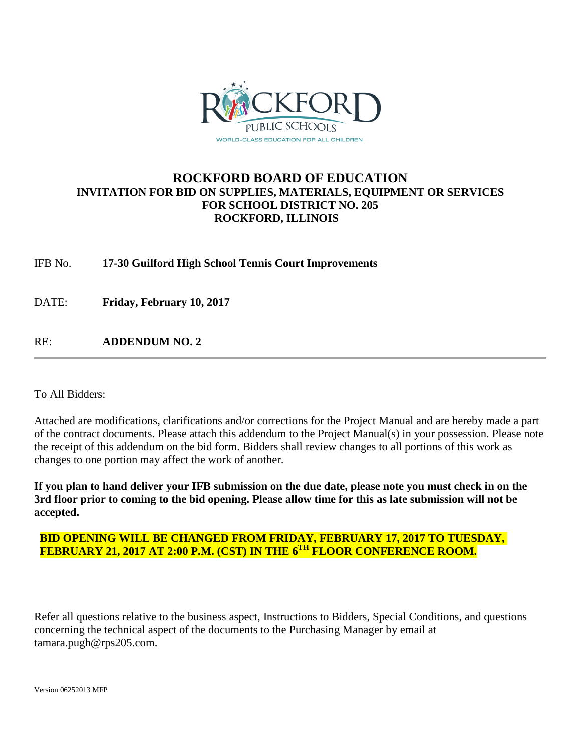

## **ROCKFORD BOARD OF EDUCATION INVITATION FOR BID ON SUPPLIES, MATERIALS, EQUIPMENT OR SERVICES FOR SCHOOL DISTRICT NO. 205 ROCKFORD, ILLINOIS**

IFB No. **17-30 Guilford High School Tennis Court Improvements**

DATE: **Friday, February 10, 2017**

RE: **ADDENDUM NO. 2**

To All Bidders:

Attached are modifications, clarifications and/or corrections for the Project Manual and are hereby made a part of the contract documents. Please attach this addendum to the Project Manual(s) in your possession. Please note the receipt of this addendum on the bid form. Bidders shall review changes to all portions of this work as changes to one portion may affect the work of another.

**If you plan to hand deliver your IFB submission on the due date, please note you must check in on the 3rd floor prior to coming to the bid opening. Please allow time for this as late submission will not be accepted.**

## **BID OPENING WILL BE CHANGED FROM FRIDAY, FEBRUARY 17, 2017 TO TUESDAY, FEBRUARY 21, 2017 AT 2:00 P.M. (CST) IN THE 6TH FLOOR CONFERENCE ROOM.**

Refer all questions relative to the business aspect, Instructions to Bidders, Special Conditions, and questions concerning the technical aspect of the documents to the Purchasing Manager by email at tamara.pugh@rps205.com.